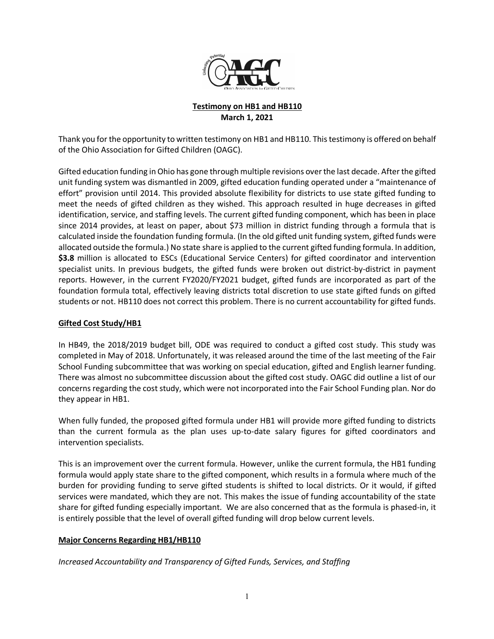

### **Testimony on HB1 and HB110 March 1, 2021**

Thank you for the opportunity to written testimony on HB1 and HB110. This testimony is offered on behalf of the Ohio Association for Gifted Children (OAGC).

Gifted education funding in Ohio has gone through multiple revisions over the last decade. After the gifted unit funding system was dismantled in 2009, gifted education funding operated under a "maintenance of effort" provision until 2014. This provided absolute flexibility for districts to use state gifted funding to meet the needs of gifted children as they wished. This approach resulted in huge decreases in gifted identification, service, and staffing levels. The current gifted funding component, which has been in place since 2014 provides, at least on paper, about \$73 million in district funding through a formula that is calculated inside the foundation funding formula. (In the old gifted unit funding system, gifted funds were allocated outside the formula.) No state share is applied to the current gifted funding formula. In addition, **\$3.8** million is allocated to ESCs (Educational Service Centers) for gifted coordinator and intervention specialist units. In previous budgets, the gifted funds were broken out district-by-district in payment reports. However, in the current FY2020/FY2021 budget, gifted funds are incorporated as part of the foundation formula total, effectively leaving districts total discretion to use state gifted funds on gifted students or not. HB110 does not correct this problem. There is no current accountability for gifted funds.

### **Gifted Cost Study/HB1**

In HB49, the 2018/2019 budget bill, ODE was required to conduct a gifted cost study. This study was completed in May of 2018. Unfortunately, it was released around the time of the last meeting of the Fair School Funding subcommittee that was working on special education, gifted and English learner funding. There was almost no subcommittee discussion about the gifted cost study. OAGC did outline a list of our concerns regarding the cost study, which were not incorporated into the Fair School Funding plan. Nor do they appear in HB1.

When fully funded, the proposed gifted formula under HB1 will provide more gifted funding to districts than the current formula as the plan uses up-to-date salary figures for gifted coordinators and intervention specialists.

This is an improvement over the current formula. However, unlike the current formula, the HB1 funding formula would apply state share to the gifted component, which results in a formula where much of the burden for providing funding to serve gifted students is shifted to local districts. Or it would, if gifted services were mandated, which they are not. This makes the issue of funding accountability of the state share for gifted funding especially important. We are also concerned that as the formula is phased-in, it is entirely possible that the level of overall gifted funding will drop below current levels.

### **Major Concerns Regarding HB1/HB110**

*Increased Accountability and Transparency of Gifted Funds, Services, and Staffing*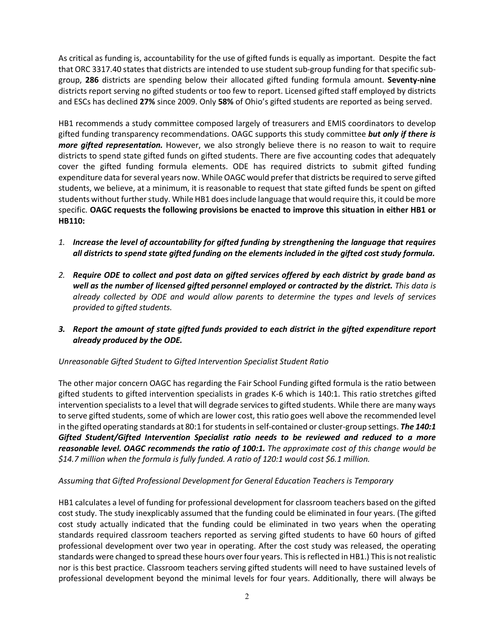As critical as funding is, accountability for the use of gifted funds is equally as important. Despite the fact that ORC 3317.40 states that districts are intended to use student sub-group funding for that specific subgroup, **286** districts are spending below their allocated gifted funding formula amount. **Seventy-nine** districts report serving no gifted students or too few to report. Licensed gifted staff employed by districts and ESCs has declined **27%** since 2009. Only **58%** of Ohio's gifted students are reported as being served.

HB1 recommends a study committee composed largely of treasurers and EMIS coordinators to develop gifted funding transparency recommendations. OAGC supports this study committee *but only if there is more gifted representation*. However, we also strongly believe there is no reason to wait to require districts to spend state gifted funds on gifted students. There are five accounting codes that adequately cover the gifted funding formula elements. ODE has required districts to submit gifted funding expenditure data for several years now. While OAGC would prefer that districts be required to serve gifted students, we believe, at a minimum, it is reasonable to request that state gifted funds be spent on gifted students without further study. While HB1 does include language that would require this, it could be more specific. **OAGC requests the following provisions be enacted to improve this situation in either HB1 or HB110:** 

- *1. Increase the level of accountability for gifted funding by strengthening the language that requires all districts to spend state gifted funding on the elements included in the gifted cost study formula.*
- *2. Require ODE to collect and post data on gifted services offered by each district by grade band as well as the number of licensed gifted personnel employed or contracted by the district. This data is already collected by ODE and would allow parents to determine the types and levels of services provided to gifted students.*
- *3. Report the amount of state gifted funds provided to each district in the gifted expenditure report already produced by the ODE.*

# *Unreasonable Gifted Student to Gifted Intervention Specialist Student Ratio*

The other major concern OAGC has regarding the Fair School Funding gifted formula is the ratio between gifted students to gifted intervention specialists in grades K-6 which is 140:1. This ratio stretches gifted intervention specialists to a level that will degrade services to gifted students. While there are many ways to serve gifted students, some of which are lower cost, this ratio goes well above the recommended level in the gifted operating standards at 80:1 for students in self-contained or cluster-group settings. *The 140:1 Gifted Student/Gifted Intervention Specialist ratio needs to be reviewed and reduced to a more reasonable level. OAGC recommends the ratio of 100:1. The approximate cost of this change would be \$14.7 million when the formula is fully funded. A ratio of 120:1 would cost \$6.1 million.*

### *Assuming that Gifted Professional Development for General Education Teachers is Temporary*

HB1 calculates a level of funding for professional development for classroom teachers based on the gifted cost study. The study inexplicably assumed that the funding could be eliminated in four years. (The gifted cost study actually indicated that the funding could be eliminated in two years when the operating standards required classroom teachers reported as serving gifted students to have 60 hours of gifted professional development over two year in operating. After the cost study was released, the operating standards were changed to spread these hours over four years. Thisis reflected in HB1.) This is not realistic nor is this best practice. Classroom teachers serving gifted students will need to have sustained levels of professional development beyond the minimal levels for four years. Additionally, there will always be